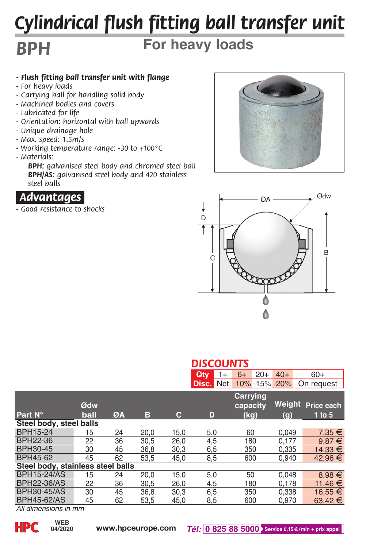## *Cylindrical flush fitting ball transfer unit*

## *BPH*

## **For heavy loads**

- *Flush fitting ball transfer unit with flange*
- *For heavy loads*
- *Carrying ball for handling solid body*
- *Machined bodies and covers*
- *Lubricated for life*
- *Orientation: horizontal with ball upwards*
- *Unique drainage hole*
- *Max. speed: 1.5m/s*
- *Working temperature range: -30 to +100°C*
- *Materials:*

 *BPH: galvanised steel body and chromed steel ball BPH/AS: galvanised steel body and 420 stainless steel balls*



*- Good resistance to shocks*





|                                   |      |    |      |      | <b>DISCOUNTS</b> |                                 |        |             |  |
|-----------------------------------|------|----|------|------|------------------|---------------------------------|--------|-------------|--|
|                                   |      |    |      |      | Qtv<br>$1+$      | $20+$<br>$6+$                   | $40+$  | $60+$       |  |
|                                   |      |    |      |      |                  | <b>Disc.</b> Net -10% -15% -20% |        | On request  |  |
|                                   | Ødw  |    |      |      |                  | Carrying<br>capacity            | Weight | Price each  |  |
| Part N°                           | ball | ØA | в    | c    | D                | (kg)                            | (g)    | $1$ to $5$  |  |
| Steel body, steel balls           |      |    |      |      |                  |                                 |        |             |  |
| BPH15-24                          | 15   | 24 | 20.0 | 15.0 | 5,0              | 60                              | 0.049  | $7.35 \in$  |  |
| <b>BPH22-36</b>                   | 22   | 36 | 30.5 | 26.0 | 4.5              | 180                             | 0.177  | $9.87 \in$  |  |
| BPH30-45                          | 30   | 45 | 36,8 | 30,3 | 6,5              | 350                             | 0.335  | 14.33 €     |  |
| BPH45-62                          | 45   | 62 | 53.5 | 45.0 | 8.5              | 600                             | 0.940  | 42.96 €     |  |
| Steel body, stainless steel balls |      |    |      |      |                  |                                 |        |             |  |
| <b>BPH15-24/AS</b>                | 15   | 24 | 20,0 | 15.0 | 5,0              | 50                              | 0.048  | $8,98 \in$  |  |
| <b>BPH22-36/AS</b>                | 22   | 36 | 30,5 | 26,0 | 4,5              | 180                             | 0.178  | 11.46 €     |  |
| <b>BPH30-45/AS</b>                | 30   | 45 | 36.8 | 30.3 | 6.5              | 350                             | 0.338  | $16.55 \in$ |  |
| <b>BPH45-62/AS</b>                | 45   | 62 | 53.5 | 45.0 | 8.5              | 600                             | 0.970  | $63.42 \in$ |  |

*All dimensions in mm*

**04/2020**